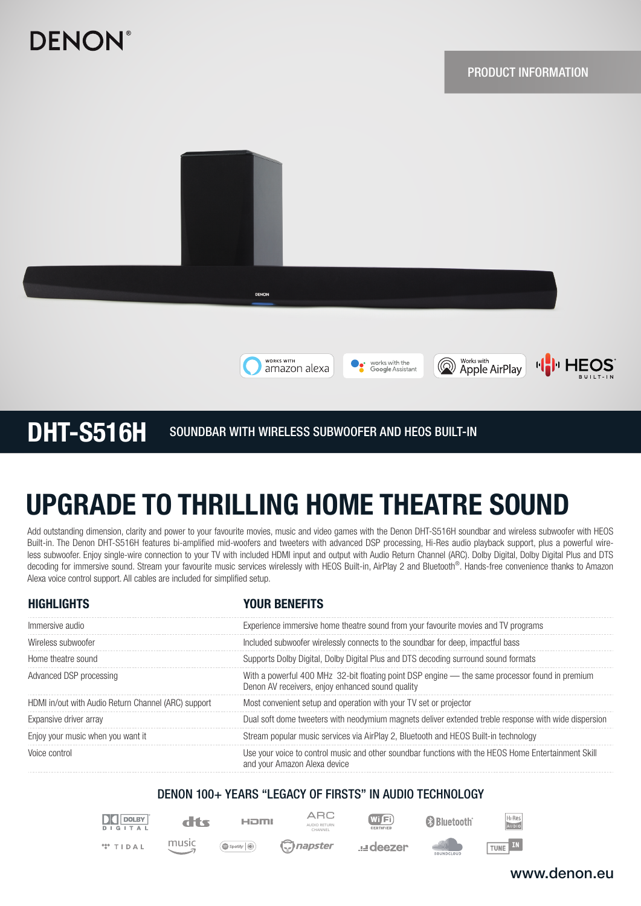# **DENON**





WORKS WITH

amazon alexa

# UPGRADE TO THRILLING HOME THEATRE SOUND

Add outstanding dimension, clarity and power to your favourite movies, music and video games with the Denon DHT-S516H soundbar and wireless subwoofer with HEOS Built-in. The Denon DHT-S516H features bi-amplified mid-woofers and tweeters with advanced DSP processing, Hi-Res audio playback support, plus a powerful wireless subwoofer. Enjoy single-wire connection to your TV with included HDMI input and output with Audio Return Channel (ARC). Dolby Digital, Dolby Digital Plus and DTS decoding for immersive sound. Stream your favourite music services wirelessly with HEOS Built-in, AirPlay 2 and Bluetooth®. Hands-free convenience thanks to Amazon Alexa voice control support. All cables are included for simplified setup.

| <b>HIGHLIGHTS</b>                                   | YOUR BENEFITS                                                                                                                                      |
|-----------------------------------------------------|----------------------------------------------------------------------------------------------------------------------------------------------------|
| Immersive audio                                     | Experience immersive home theatre sound from your favourite movies and TV programs                                                                 |
| Wireless subwoofer                                  | Included subwoofer wirelessly connects to the soundbar for deep, impactful bass                                                                    |
| Home theatre sound                                  | Supports Dolby Digital, Dolby Digital Plus and DTS decoding surround sound formats                                                                 |
| Advanced DSP processing                             | With a powerful 400 MHz 32-bit floating point DSP engine — the same processor found in premium<br>Denon AV receivers, enjoy enhanced sound quality |
| HDMI in/out with Audio Return Channel (ARC) support | Most convenient setup and operation with your TV set or projector                                                                                  |
| Expansive driver array                              | Dual soft dome tweeters with neodymium magnets deliver extended treble response with wide dispersion                                               |
| Enjoy your music when you want it                   | Stream popular music services via AirPlay 2, Bluetooth and HEOS Built-in technology                                                                |
| Voice control                                       | Use your voice to control music and other soundbar functions with the HEOS Home Entertainment Skill<br>and your Amazon Alexa device                |

## DENON 100+ YEARS "LEGACY OF FIRSTS" IN AUDIO TECHNOLOGY



dts

music

 $\bigcirc$  Spotify  $\bigcirc$ 

HOMI napster

**ARC** AUDIO RETURN CHANNEL

**udeezer** 

 $Wf$ Fi

**B** Bluetooth

Works with

*Apple AirPlay* 

works with the<br>Google Assistant

H<sub>I</sub>-Res TUNE IN

# www.denon.eu